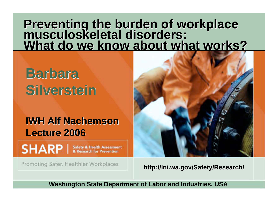# **Preventing the burden of workplace<br>musculoskeletal disorders: What do we know about what works?**

**Barbara Barbara Silverstein Silverstein**

#### **IWH Alf Nachemson Lecture 2006 Lecture 2006**

SHARP | Safety & Health Assessment

Promoting Safer, Healthier Workplaces



**http://Ini.wa.gov/Safety/Research/** 

**Washington State Department of Labor and Industries, USA**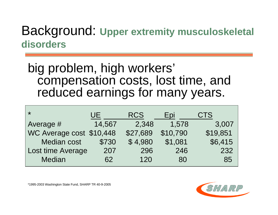### Background: **Upper extremity musculoskeletal disorders**

#### big problem, high workers' compensation costs, lost time, and reduced earnings for many years.

| $\star$                  | UE.    | <b>RCS</b> | <b>Epi</b> | <b>CTS</b> |
|--------------------------|--------|------------|------------|------------|
| Average #                | 14,567 | 2,348      | 1,578      | 3,007      |
| WC Average cost \$10,448 |        | \$27,689   | \$10,790   | \$19,851   |
| <b>Median cost</b>       | \$730  | \$4,980    | \$1,081    | \$6,415    |
| <b>Lost time Average</b> | 207    | 296        | 246        | 232        |
| Median                   | 62     | 120        | 80         | 85         |

\*1995-2003 Washington State Fund, SHARP TR 40-9-2005

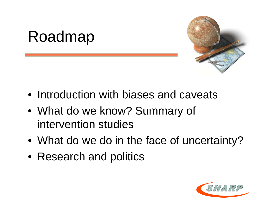# Roadmap



- Introduction with biases and caveats
- What do we know? Summary of intervention studies
- What do we do in the face of uncertainty?
- Research and politics

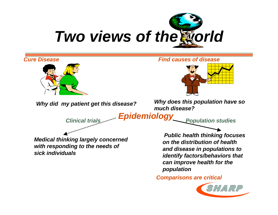



*Cure Disease Find causes of disease*



*Why did my patient get this disease? Why does this population have so much disease?*

*Epidemiology Clinical trials Population studies*

*Medical thinking largely concerned with responding to the needs of sick individuals*

 *Public health thinking focuses on the distribution of health and disease in populations to identify factors/behaviors that can improve health for the population*

*Comparisons are critical*

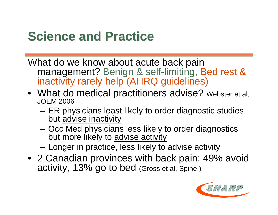### **Science and Practice Science and Practice**

What do we know about acute back pain management? Benign & self-limiting, Bed rest & inactivity rarely help (AHRQ guidelines)

- What do medical practitioners advise? Webster et al, JOEM 2006
	- – ER physicians least likely to order diagnostic studies but advise inactivity
	- – Occ Med physicians less likely to order diagnostics but more likely to advise activity
	- –Longer in practice, less likely to advise activity
- 2 Canadian provinces with back pain: 49% avoid activity, 13% go to bed (Gross et al, Spine,)

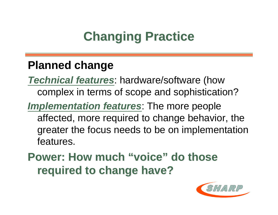# **Changing Practice Changing Practice**

#### **Planned change**

*Technical features*: hardware/software (how complex in terms of scope and sophistication?

*Implementation features*: The more people affected, more required to change behavior, the greater the focus needs to be on implementation features.

**Power: How much "voice" do those required to change have? required to change have?**

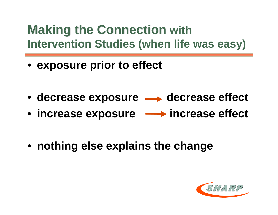### **Making the Connection Making the Connection with Intervention Studies (when life was easy)**

- **exposure prior to effect**
- decrease exposure  $\longrightarrow$  decrease effect
- increase exposure **increase effect**
- **nothing else explains the change**

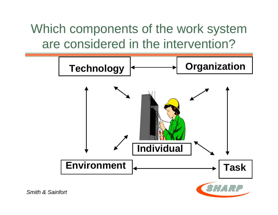Which components of the work system are considered in the intervention?



*Smith & Sainfort*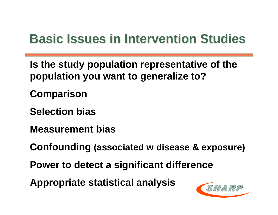### **Basic Issues in Intervention Studies Basic Issues in Intervention Studies**

**Is the study population representative of the population you want to generalize to?**

**Comparison**

**Selection bias**

**Measurement bias**

**Confounding (associated w disease & exposure)**

**Power to detect a significant difference**

**Appropriate statistical analysis**

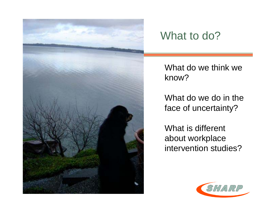

#### What to do?

What do we think we know?

What do we do in the face of uncertainty?

What is different about workplace intervention studies?

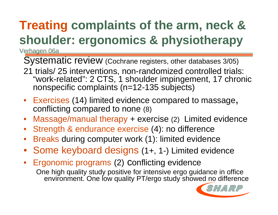# **Treating complaints of the arm, neck & shoulder: ergonomics & physiotherapy**

Verhagen 06a

Systematic review (Cochrane registers, other databases 3/05)

- 21 trials/ 25 interventions, non-randomized controlled trials: "work-related": 2 CTS, 1 shoulder impingement, 17 chronic nonspecific complaints (n=12-135 subjects)
- Exercises (14) limited evidence compared to massage, conflicting compared to none (8)
- $\bullet$ Massage/manual therapy + exercise (2) Limited evidence
- $\bullet$ Strength & endurance exercise (4): no difference
- $\bullet$ Breaks during computer work (1): limited evidence
- Some keyboard designs (1+, 1-) Limited evidence
- Ergonomic programs (2) conflicting evidence One high quality study positive for intensive ergo guidance in office environment. One low quality PT/ergo study showed no difference

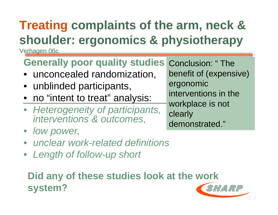# **Treating complaints of the arm, neck & shoulder: ergonomics & physiotherapy**

Verhagen 06c

### **Generally poor quality studies**

- unconcealed randomization,
- unblinded participants,
- no "intent to treat" analysis:
- *Heterogeneity of participants, interventions & outcomes,*
- *low power,*
- *unclear work-related definitions*
- *Length of follow-up short*

#### **Did any of these studies look at the work system?**

Conclusion: " The benefit of (expensive) ergonomic interventions in the workplace is not clearly demonstrated."

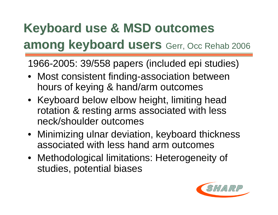### **Keyboard use & MSD outcomes Keyboard use & MSD outcomes among keyboard users among keyboard users** Gerr, Occ Rehab 2006

1966-2005: 39/558 papers (included epi studies)

- Most consistent finding-association between hours of keying & hand/arm outcomes
- Keyboard below elbow height, limiting head rotation & resting arms associated with less neck/shoulder outcomes
- Minimizing ulnar deviation, keyboard thickness associated with less hand arm outcomes
- Methodological limitations: Heterogeneity of studies, potential biases

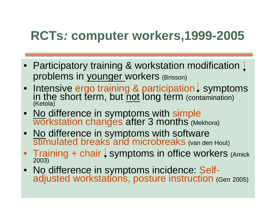### **RCTs***:* **computer workers,1999-2005**

- Participatory training & workstation modification problems in younger workers (Brisson)
- Intensive ergo training & participation  $\downarrow$  symptoms in the short term, but <u>not</u> long term (contamination) (Ketola)
- No difference in symptoms with simple<br>Workstation changes after 3 months (Mekhora)
- No difference in symptoms with software<br>stimulated breaks and microbreaks (van den Hout)
- Training + chair  $\downarrow$  symptoms in office workers (Amick 2003)
- No difference in symptoms incidence: Self- adjusted workstations, posture instruction (Gerr 2005)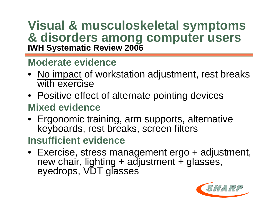# **Visual & musculoskeletal symptoms & disorders among computer users IWH Systematic Review 2006**

#### **Moderate evidence**

- No impact of workstation adjustment, rest breaks with exercise
- Positive effect of alternate pointing devices **Mixed evidence**
- Ergonomic training, arm supports, alternative keyboards, rest breaks, screen filters

#### **Insufficient evidence**

• Exercise, stress management ergo + adjustment, new chair, lighting + adjustment + glasses, eyedrops, VDT glasses

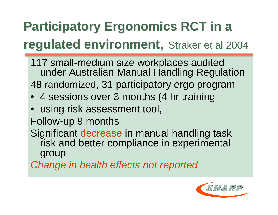# **Participatory Ergonomics RCT in a Participatory Ergonomics RCT in a regulated environment**, Straker et al 2004

- 117 small-medium size workplaces audited under Australian Manual Handling Regulation 48 randomized, 31 participatory ergo program
- 4 sessions over 3 months (4 hr training
- using risk assessment tool,
- Follow-up 9 months
- Significant decrease in manual handling task risk and better compliance in experimental group
- *Change in health effects not reported*

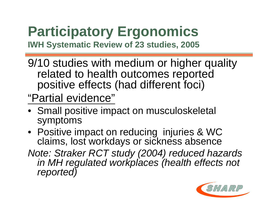# **Participatory Ergonomics**

**IWH Systematic Review of 23 studies, 2005**

9/10 studies with medium or higher quality related to health outcomes reported positive effects (had different foci)

"Partial evidence "

- Small positive impact on musculoskeletal symptoms
- Positive impact on reducing injuries & WC claims, lost workdays or sickness absence
- *Note: Straker RCT study (2004) reduced hazards in MH regulated workplaces (health effects not reported)*

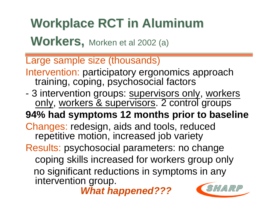# **Workplace RCT in Aluminum Workplace RCT in Aluminum**

**Workers, Morken et al 2002 (a)** 

Large sample size (thousands)

- Intervention: participatory ergonomics approach training, coping, psychosocial factors
- 3 intervention groups: supervisors only, workers only, workers & supervisors. 2 control groups
- **94% had symptoms 12 months prior to baseline**

Changes: redesign, aids and tools, reduced repetitive motion, increased job variety

Results: psychosocial parameters: no change coping skills increased for workers group only no significant reductions in symptoms in any intervention group.

*What happened???*

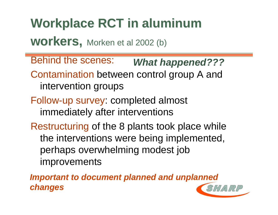# **Workplace RCT in aluminum Workplace RCT in aluminum**

**workers, workers,** Morken et al 2002 (b)

Behind the scenes: Contamination between control group A and intervention groups *What happened???*

- Follow-up survey: completed almost immediately after interventions
- Restructuring of the 8 plants took place while the interventions were being implemented, perhaps overwhelming modest job improvements

*Important to document planned and unplanned changes*

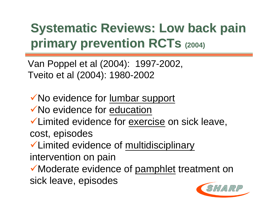# **Systematic Reviews: Low back pain Systematic Reviews: Low back pain primary prevention RCTs (2004)**

Van Poppel et al (2004): 1997-2002, Tveito et al (2004): 1980-2002

◆ No evidence for lumbar support ◆ No evidence for education Limited evidence for exercise on sick leave, cost, episodes Limited evidence of multidisciplinary

intervention on pain

◆ Moderate evidence of pamphlet treatment on sick leave, episodes

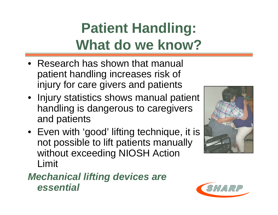# **Patient Handling: What do we know?**

- Research has shown that manual patient handling increases risk of injury for care givers and patients
- Injury statistics shows manual patient handling is dangerous to caregivers and patients
- Even with 'good' lifting technique, it is not possible to lift patients manually without exceeding NIOSH Action Limit

#### *Mechanical lifting devices are essential*



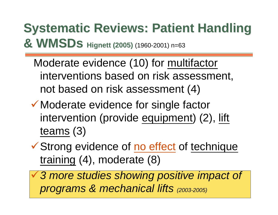# **Systematic Reviews: Patient Handling Systematic Reviews: Patient Handling & WMSDS Hignett (2005) (1960-2001) n=63**

 Moderate evidence (10) for multifactor interventions based on risk assessment, not based on risk assessment (4)

- ◆ Moderate evidence for single factor intervention (provide equipment) (2), lift teams (3)
- **V** Strong evidence of no effect of technique training (4), moderate (8)
	- *3 more studies showing positive impact of programs & mechanical lifts (2003-2005)*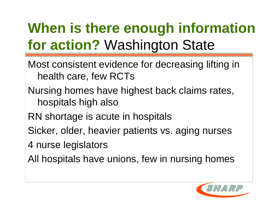# **When is there enough information for action?** Washington State

- Most consistent evidence for decreasing lifting in health care, few RCTs
- Nursing homes have highest back claims rates, hospitals high also
- RN shortage is acute in hospitals
- Sicker, older, heavier patients vs. aging nurses
- 4 nurse legislators
- All hospitals have unions, few in nursing homes

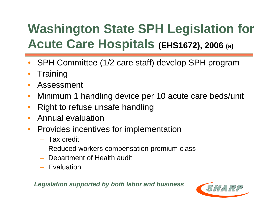# **Washington State SPH Legislation for Acute Care Hospitals (EHS1672), 2006 (a)**

- $\bullet$ SPH Committee (1/2 care staff) develop SPH program
- $\bullet$ **Training**
- $\bullet$ Assessment
- $\bullet$ Minimum 1 handling device per 10 acute care beds/unit
- •Right to refuse unsafe handling
- $\bullet$ Annual evaluation
- $\bullet$  Provides incentives for implementation
	- Tax credit
	- Reduced workers compensation premium class
	- Department of Health audit
	- Evaluation

*Legislation supported by both labor and business*

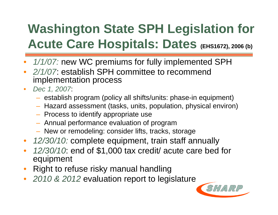# **Washington State SPH Legislation for Acute Care Hospitals: Dates (EHS1672), 2006 (b)**

- $\bullet$ *1/1/07:* new WC premiums for fully implemented SPH
- *2/1/07*: establish SPH committee to recommend implementation process
- $\bullet$  *Dec 1, 2007*:
	- $-$  establish program (policy all shifts/units: phase-in equipment)
	- Hazard assessment (tasks, units, population, physical environ)
	- $-$  Process to identify appropriate use
	- Annual performance evaluation of program
	- New or remodeling: consider lifts, tracks, storage
- *12/30/10:* complete equipment, train staff annually
- $\bullet$  *12/30/10*: end of \$1,000 tax credit/ acute care bed for equipment
- •Right to refuse risky manual handling
- $\bullet$ *2010 & 2012* evaluation report to legislature

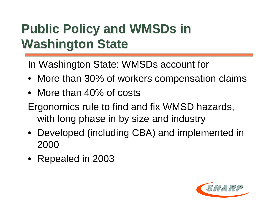# **Public Policy and WMSDs in Washington State Washington State**

In Washington State: WMSDs account for

- More than 30% of workers compensation claims
- More than 40% of costs
- Ergonomics rule to find and fix WMSD hazards, with long phase in by size and industry
- Developed (including CBA) and implemented in 2000
- Repealed in 2003

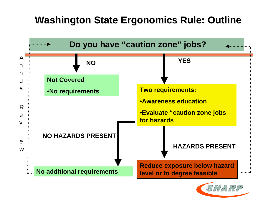#### **Washington State Ergonomics Rule: Outline Washington State Ergonomics Rule: Outline**



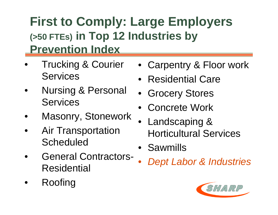### **First to Comply: Large Employers (>50 FTEs) in Top 12 Industries by Prevention Index**

- • Trucking & Courier **Services**
- • Nursing & Personal **Services**
- •Masonry, Stonework
- • Air Transportation **Scheduled**
- • General Contractors-Residential
- •Roofing
- Carpentry & Floor work
- $\bullet$ Residential Care
- Grocery Stores
- Concrete Work
- Landscaping & Horticultural Services
- Sawmills
- $\bullet$ *Dept Labor & Industries*

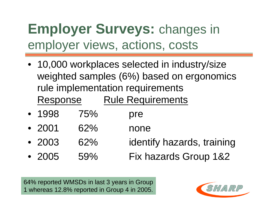# **Employer Surveys:** changes in employer views, actions, costs

- 10,000 workplaces selected in industry/size weighted samples (6%) based on ergonomics rule implementation requirements Response Rule Requirements
- 1998 75% pre
- 2001 62% none
- 2003 62% identify hazards, training
- 2005 59% Fix hazards Group 1&2

64% reported WMSDs in last 3 years in Group 1 whereas 12.8% reported in Group 4 in 2005.

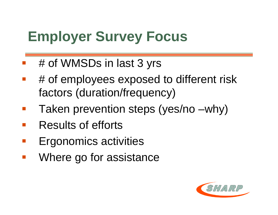# **Employer Survey Focus**

- # of WMSDs in last 3 yrs
- # of employees exposed to different risk factors (duration/frequency)
- Taken prevention steps (yes/no –why)
- **COL** Results of efforts
- Ergonomics activities
- $\mathcal{L}_{\mathcal{A}}$ Where go for assistance

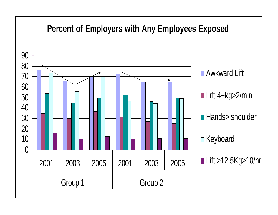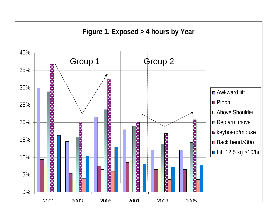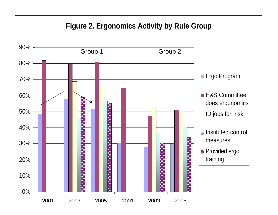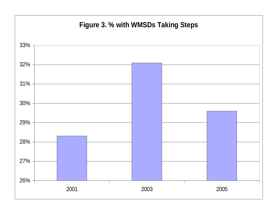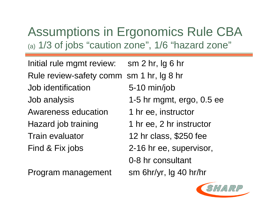### Assumptions in Ergonomics Rule CBA (a) 1/3 of jobs "caution zone", 1/6 "hazard zone"

Initial rule mgmt review: sm 2 hr, lg 6 hr Rule review-safety comm sm 1 hr, lg 8 hr Job identification 5-10 min/job Job analysis 1-5 hr mgmt, ergo, 0.5 ee Awareness education 1 hr ee, instructor Hazard job training 1 hr ee, 2 hr instructor Train evaluator 12 hr class, \$250 fee Find & Fix jobs 2-16 hr ee, supervisor, 0-8 hr consultant



Program management sm 6hr/yr, lg 40 hr/hr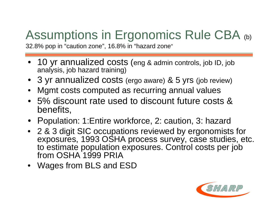# Assumptions in Ergonomics Rule CBA (b)

32.8% pop in "caution zone", 16.8% in "hazard zone"

- 10 yr annualized costs (eng & admin controls, job ID, job analysis, job hazard training)
- •3 yr annualized costs (ergo aware) & 5 yrs (job review)
- •Mgmt costs computed as recurring annual values
- 5% discount rate used to discount future costs & benefits,
- Population: 1:Entire workforce, 2: caution, 3: hazard
- 2 & 3 digit SIC occupations reviewed by ergonomists for exposures, 1993 OSHA process survey, case studies, etc. to estimate population exposures. Control costs per job from OSHA 1999 PRIA
- Wages from BLS and ESD

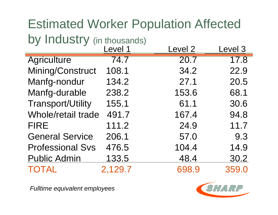### Estimated Worker Population Affected by Industry (in thousands)

| ◢                        | Level 1      | Level <sub>2</sub> | Level 3 |
|--------------------------|--------------|--------------------|---------|
| <b>Agriculture</b>       | 74.7         | 20.7               | 17.8    |
| Mining/Construct         | 108.1        | 34.2               | 22.9    |
| Manfg-nondur             | 134.2        | 27.1               | 20.5    |
| Manfg-durable            | 238.2        | 153.6              | 68.1    |
| <b>Transport/Utility</b> | 155.1        | 61.1               | 30.6    |
| Whole/retail trade       | 491.7        | 167.4              | 94.8    |
| <b>FIRE</b>              | 111.2        | 24.9               | 11.7    |
| <b>General Service</b>   | 206.1        | 57.0               | 9.3     |
| <b>Professional Svs</b>  | 476.5        | 104.4              | 14.9    |
| <b>Public Admin</b>      | <u>133.5</u> | 48.4               | 30.2    |
| <b>TOTAL</b>             | 2,129.7      | 698.9              | 359.0   |

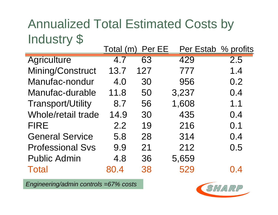### Annualized Total Estimated Costs by Industry \$

|                          | Total (m) | Per EE |       | Per Estab % profits |
|--------------------------|-----------|--------|-------|---------------------|
| <b>Agriculture</b>       | 4.7       | 63     | 429   | 2.5                 |
| Mining/Construct         | 13.7      | 127    | 777   | 1.4                 |
| Manufac-nondur           | 4.0       | 30     | 956   | 0.2                 |
| Manufac-durable          | 11.8      | 50     | 3,237 | 0.4                 |
| <b>Transport/Utility</b> | 8.7       | 56     | 1,608 | 1.1                 |
| Whole/retail trade       | 14.9      | 30     | 435   | 0.4                 |
| <b>FIRE</b>              | 2.2       | 19     | 216   | 0.1                 |
| <b>General Service</b>   | 5.8       | 28     | 314   | 0.4                 |
| <b>Professional Svs</b>  | 9.9       | 21     | 212   | 0.5                 |
| <b>Public Admin</b>      | 4.8       | 36     | 5,659 |                     |
| <b>Total</b>             | 80.4      | 38     | 529   | 0.4                 |

*Engineering/admin controls =67% costs*

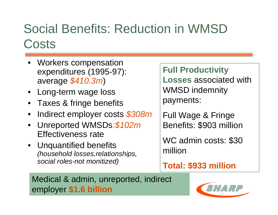### Social Benefits: Reduction in WMSD **Costs**

- Workers compensation expenditures (1995-97): average *\$410.3m* )
- •Long-term wage loss
- $\bullet$ Taxes & fringe benefits
- •Indirect employer costs *\$308m*
- • Unreported WMSDs*:\$102m* Effectiveness rate
- Unquantified benefits *(household losses,relationships, social roles-not monitized)*

**Full Productivity Losses** associated with WMSD indemnity payments:

Full Wage & Fringe Benefits: \$903 million

WC admin costs: \$30 million

**Total: \$933 million**

#### Medical & admin, unreported, indirect employer **\$1.6 billion**

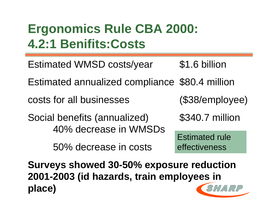### **Ergonomics Rule CBA 2000: 4.2:1 Benifits:Costs**

Estimated WMSD costs/year \$1.6 billion Estimated annualized compliance \$80.4 million costs for all businesses (\$38/employee) Social benefits (annualized) \$340.7 million 40% decrease in WMSDs 50% decrease in costs Estimated rule effectiveness

**Surveys showed 30-50% exposure reduction 2001-2003 (id hazards, train employees in** SHARP **place)**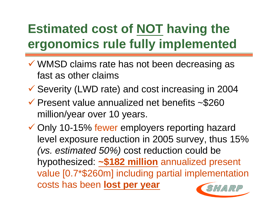# **Estimated cost of NOT having the ergonomics rule fully implemented**

- WMSD claims rate has not been decreasing as fast as other claims
- Severity (LWD rate) and cost increasing in 2004
- $\checkmark$  Present value annualized net benefits ~\$260 million/year over 10 years.

 Only 10-15% fewer employers reporting hazard level exposure reduction in 2005 survey, thus 15% *(vs. estimated 50%)* cost reduction could be hypothesized: **~\$182 million** annualized present value [0.7\*\$260m] including partial implementation costs has been **lost per year**SHARP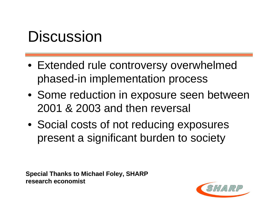# **Discussion**

- Extended rule controversy overwhelmed phased-in implementation process
- Some reduction in exposure seen between 2001 & 2003 and then reversal
- Social costs of not reducing exposures present a significant burden to society

**Special Thanks to Michael Foley, SHARP Special Thanks to Michael Foley, SHARP research economist research economist**

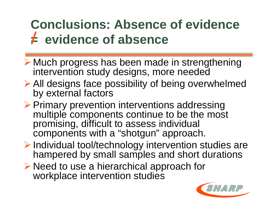# **Conclusions: Absence of evidence = evidence of absence**

- Much progress has been made in strengthening intervention study designs, more needed
- All designs face possibility of being overwhelmed by external factors
- ▶ Primary prevention interventions addressing multiple components continue to be the most promising, difficult to assess individual components with a "shotgun" approach.
- Individual tool/technology intervention studies are hampered by small samples and short durations
- ▶ Need to use a hierarchical approach for workplace intervention studies

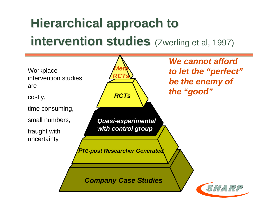# **Hierarchical approach to Hierarchical approach to intervention studies** (Zwerling et al, 1997)